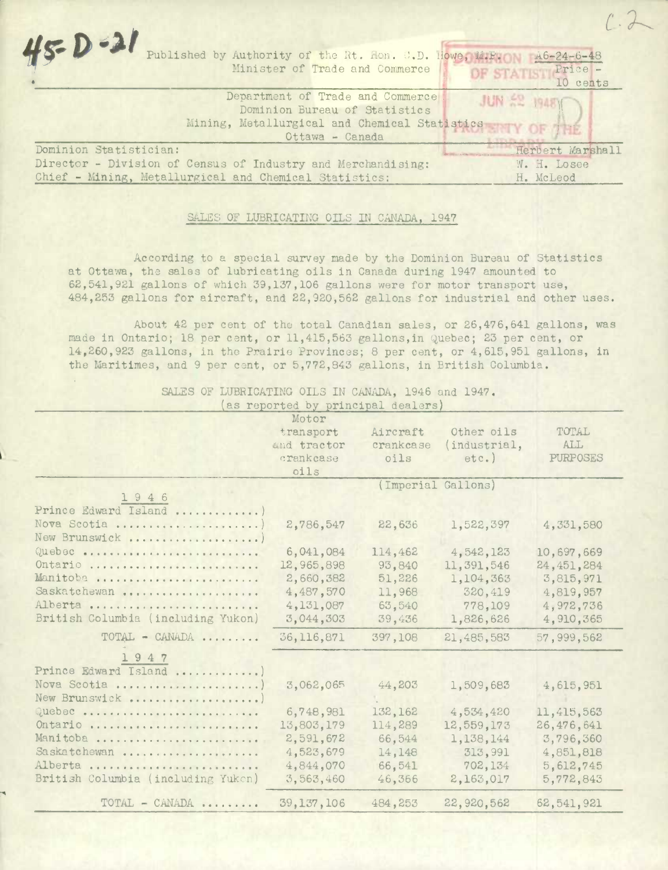| $45 - 0 - 21$<br>Published by Authority of the Rt. Hon. C.D. Howe, M.P.<br>$A6 - 24 - 6 - 48$<br>OF STATISTIC Price<br>Minister of Trade and Commerce                                            |
|--------------------------------------------------------------------------------------------------------------------------------------------------------------------------------------------------|
| Department of Trade and Commerce<br><b>JUN ER 1948Y</b><br>Dominion Bureau of Statistics<br>Mining, Metallurgical and Chemical Statistics NTY OF 1112<br>Ottawa - Canada                         |
| Dominion Statistician:<br>Herbert Marshall<br>Director - Division of Census of Industry and Merchandising:<br>W. H. Losee<br>Chief - Mining, Metallurgical and Chemical Statistics:<br>H. McLeod |

 $1.2$ 

## SALES OF LUBRICATING OILS IN CANADA, 1947

According to a special survey made by the Dominion Bureau of Statistics at Ottawa, the sales of lubricating oils in Canada during 1947 amounted to 62,541,921 gallons of which 39,137,106 gallons were for motor transport use, 484,253 gallons for aircraft, and 22,920,562 gallons for industrial and other uses.

About 42 per cent of the total Canadian sales, or 26,476,641 gallons, was made in Ontario; 18 per cent, or 11,415,563 gallons, in Quebec; 23 per cent, or 14,260,923 gallons, in the Prairie Provinces; 8 per cent, or 4,615,951 gallons, in the Maritimes, and 9 per cent, or 5,772,843 gallons, in British Columbia.

SALES OF LUBRICATING OILS IN CANADA, 1946 and 1947.

 $\mathcal{L}$ 

|--|

|                                    | as rober sow of brancebar acares.<br>Motor |           |                    |              |  |
|------------------------------------|--------------------------------------------|-----------|--------------------|--------------|--|
|                                    | transport                                  | Aircraft  | Other oils         | TOTAL        |  |
|                                    | and tractor                                | crankcase | (industrial,       | ALL          |  |
|                                    | crankcase                                  | oils      | $etc.$ )           | PURPOSES     |  |
|                                    | oils                                       |           |                    |              |  |
|                                    |                                            |           | (Imperial Gallons) |              |  |
| 1946                               |                                            |           |                    |              |  |
| Prince Edward Island               |                                            |           |                    |              |  |
| Nova Scotia                        | 2,786,547                                  | 22,636    | 1,522,397          | 4,331,580    |  |
| New Brunswick                      |                                            |           |                    |              |  |
| Quebec                             | 6,041,084                                  | 114,462   | 4,542,123          | 10,697,669   |  |
| Ontario                            | 12,965,898                                 | 93,840    | 11,391,546         | 24, 451, 284 |  |
| Manitoba                           | 2,660,382                                  | 51,226    | 1,104,363          | 3,815,971    |  |
| Saskatchewan                       | 4,487,570                                  | 11,968    | 320,419            | 4,819,957    |  |
| Alberta                            | 4,131,087                                  | 63,540    | 778,109            | 4,972,736    |  |
| British Columbia (including Yukon) | 3,044,303                                  | 39,436    | 1,826,626          | 4,910,365    |  |
| $\text{TOTAL}$ - CANADA            | 36,116,871                                 | 397,108   | 21,485,583         | 57,999,562   |  |
| 1947                               |                                            |           |                    |              |  |
| Prince Edward Island               |                                            |           |                    |              |  |
| Nova Scotia                        | 3,062,065                                  | 44,203    | 1,509,683          | 4,615,951    |  |
| New Brunswick                      |                                            |           |                    |              |  |
| Quebec                             | 6,748,981                                  | 132,162   | 4,534,420          | 11,415,563   |  |
| Ontario                            | 13,803,179                                 | 114,289   | 12,559,173         | 26,476,641   |  |
| Manitoba                           | 2,591,672                                  | 66,544    | 1,138,144          | 3,796,360    |  |
| Saskatchewan                       | 4,523,679                                  | 14,148    | 313,991            | 4,851,818    |  |
| Alberta                            | 4,844,070                                  | 66,541    | 702,134            | 5,612,745    |  |
| British Columbia (including Yuken) | 3,563,460                                  | 46,366    | 2,163,017          | 5,772,843    |  |
| TOTAL - CANADA                     | 39,137,106                                 | 484,253   | 22,920,562         | 62,541,921   |  |